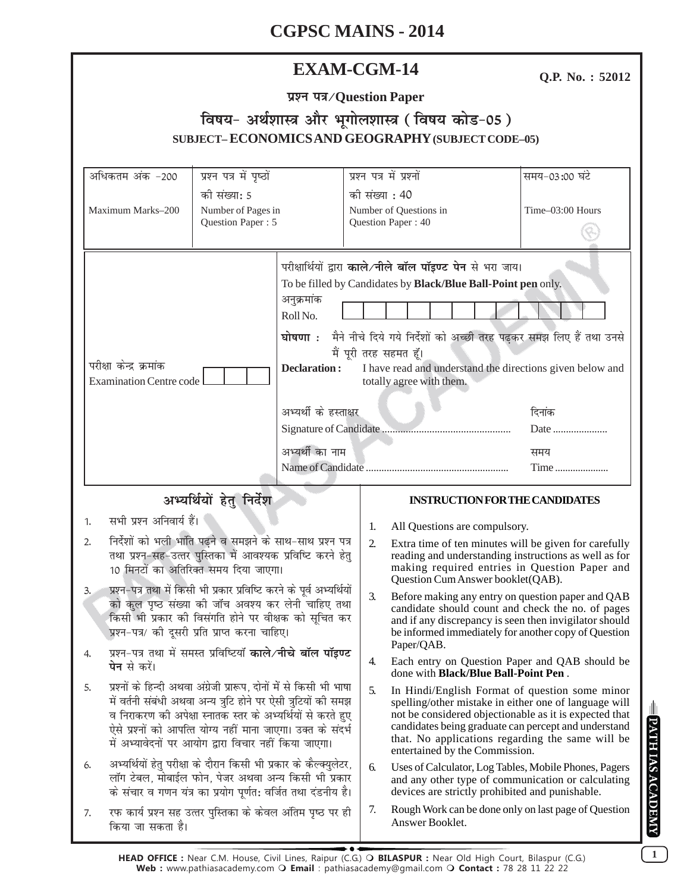| <b>EXAM-CGM-14</b> |
|--------------------|
|--------------------|

Q.P. No.: 52012

| प्रश्न पत्र / Question Paper                      |
|---------------------------------------------------|
| विषय- अर्थशास्त्र और भूगोलशास्त्र (विषय कोड-05)   |
| SUBJECT-ECONOMICS AND GEOGRAPHY (SUBJECT CODE-05) |

|                                                                                                                                                                           | अधिकतम अंक -200                                                                                                                                                                                                                                                                                                                | प्रश्न पत्र में पृष्ठों                 |                                                                                                                                                                                                                                                                                                                                                                                                                                              | प्रश्न पत्र में प्रश्नों                                                                                                                                                                             |                                                                                                                                                                                                                                                                                                                 | समय-03:00 घंटे   |  |
|---------------------------------------------------------------------------------------------------------------------------------------------------------------------------|--------------------------------------------------------------------------------------------------------------------------------------------------------------------------------------------------------------------------------------------------------------------------------------------------------------------------------|-----------------------------------------|----------------------------------------------------------------------------------------------------------------------------------------------------------------------------------------------------------------------------------------------------------------------------------------------------------------------------------------------------------------------------------------------------------------------------------------------|------------------------------------------------------------------------------------------------------------------------------------------------------------------------------------------------------|-----------------------------------------------------------------------------------------------------------------------------------------------------------------------------------------------------------------------------------------------------------------------------------------------------------------|------------------|--|
|                                                                                                                                                                           |                                                                                                                                                                                                                                                                                                                                | की संख्या: 5                            |                                                                                                                                                                                                                                                                                                                                                                                                                                              | को संख्या : 40                                                                                                                                                                                       |                                                                                                                                                                                                                                                                                                                 |                  |  |
|                                                                                                                                                                           | Maximum Marks-200                                                                                                                                                                                                                                                                                                              | Number of Pages in<br>Question Paper: 5 |                                                                                                                                                                                                                                                                                                                                                                                                                                              |                                                                                                                                                                                                      | Number of Questions in<br>Question Paper: 40                                                                                                                                                                                                                                                                    | Time-03:00 Hours |  |
| परीक्षा केन्द्र क्रमांक<br><b>Examination Centre code</b>                                                                                                                 |                                                                                                                                                                                                                                                                                                                                |                                         | परीक्षार्थियों द्वारा काले/नीले बॉल पॉइण्ट पेन से भरा जाय।<br>To be filled by Candidates by Black/Blue Ball-Point pen only.<br>अनुक्रमांक<br>Roll No.<br>घोषणा : मैने नीचे दिये गये निर्देशों को अच्छी तरह पढ़कर समझ लिए हैं तथा उनसे<br>मैं पूरी तरह सहमत हूँ।<br><b>Declaration:</b><br>I have read and understand the directions given below and<br>totally agree with them.<br>अभ्यर्थी के हस्ताक्षर<br>दिनांक<br>अभ्यर्थी का नाम<br>समय |                                                                                                                                                                                                      |                                                                                                                                                                                                                                                                                                                 |                  |  |
|                                                                                                                                                                           |                                                                                                                                                                                                                                                                                                                                |                                         |                                                                                                                                                                                                                                                                                                                                                                                                                                              |                                                                                                                                                                                                      |                                                                                                                                                                                                                                                                                                                 |                  |  |
| अभ्यर्थियों हेतु निर्देश                                                                                                                                                  |                                                                                                                                                                                                                                                                                                                                |                                         |                                                                                                                                                                                                                                                                                                                                                                                                                                              |                                                                                                                                                                                                      | <b>INSTRUCTION FOR THE CANDIDATES</b>                                                                                                                                                                                                                                                                           |                  |  |
| सभी प्रश्न अनिवार्य हैं।<br>1.                                                                                                                                            |                                                                                                                                                                                                                                                                                                                                |                                         | 1.                                                                                                                                                                                                                                                                                                                                                                                                                                           | All Questions are compulsory.                                                                                                                                                                        |                                                                                                                                                                                                                                                                                                                 |                  |  |
| निर्देशों को भली भांति पढ़ने व समझने के साथ-साथ प्रश्न पत्र<br>2.<br>तथा प्रश्न-सह-उत्तर पुस्तिका में आवश्यक प्रविष्टि करने हेतु<br>10 मिनटों का अतिरिक्त समय दिया जाएगा। |                                                                                                                                                                                                                                                                                                                                |                                         | 2.                                                                                                                                                                                                                                                                                                                                                                                                                                           | Extra time of ten minutes will be given for carefully<br>reading and understanding instructions as well as for<br>making required entries in Question Paper and<br>Question Cum Answer booklet(QAB). |                                                                                                                                                                                                                                                                                                                 |                  |  |
|                                                                                                                                                                           |                                                                                                                                                                                                                                                                                                                                |                                         |                                                                                                                                                                                                                                                                                                                                                                                                                                              |                                                                                                                                                                                                      |                                                                                                                                                                                                                                                                                                                 |                  |  |
| 3.                                                                                                                                                                        | प्रश्न–पत्र तथा में किसी भी प्रकार प्रविष्टि करने के पूर्व अभ्यर्थियों<br>को कुल पृष्ठ संख्या की जॉच अवश्य कर लेनी चाहिए तथा<br>किसी भी प्रकार की विसंगति होने पर वीक्षक को सूचित कर<br>प्रश्न-पत्र/ की दूसरी प्रति प्राप्त करना चाहिए।                                                                                        |                                         |                                                                                                                                                                                                                                                                                                                                                                                                                                              | 3.                                                                                                                                                                                                   | Before making any entry on question paper and QAB<br>candidate should count and check the no. of pages<br>and if any discrepancy is seen then invigilator should<br>be informed immediately for another copy of Question                                                                                        |                  |  |
| 4.                                                                                                                                                                        | प्रश्न-पत्र तथा में समस्त प्रविष्टियाँ काले/नीचे बॉल पॉइण्ट<br><b>पेन</b> से करें।                                                                                                                                                                                                                                             |                                         |                                                                                                                                                                                                                                                                                                                                                                                                                                              | 4.                                                                                                                                                                                                   | Paper/QAB.<br>Each entry on Question Paper and QAB should be<br>done with <b>Black/Blue Ball-Point Pen</b> .                                                                                                                                                                                                    |                  |  |
| 5.                                                                                                                                                                        | प्रश्नों के हिन्दी अथवा अंग्रेजी प्रारूप, दोनों में से किसी भी भाषा<br>में वर्तनी संबंधी अथवा अन्य त्रुटि होने पर ऐसी त्रुटियों की समझ<br>व निराकरण की अपेक्षा स्नातक स्तर के अभ्यर्थियों से करते हुए<br>ऐसे प्रश्नों को आपत्ति योग्य नहीं माना जाएगा। उक्त के संदर्भ<br>में अभ्यावेदनों पर आयोग द्वारा विचार नहीं किया जाएगा। |                                         |                                                                                                                                                                                                                                                                                                                                                                                                                                              | 5.                                                                                                                                                                                                   | In Hindi/English Format of question some minor<br>spelling/other mistake in either one of language will<br>not be considered objectionable as it is expected that<br>candidates being graduate can percept and understand<br>that. No applications regarding the same will be<br>entertained by the Commission. |                  |  |
| 6.                                                                                                                                                                        | अभ्यर्थियों हेतु परीक्षा के दौरान किसी भी प्रकार के कैल्क्युलेटर,<br>लॉग टेबल, मोबाईल फोन, पेजर अथवा अन्य किसी भी प्रकार<br>के संचार व गणन यंत्र का प्रयोग पूर्णत: वर्जित तथा दंडनीय है।                                                                                                                                       |                                         |                                                                                                                                                                                                                                                                                                                                                                                                                                              | 6.                                                                                                                                                                                                   | Uses of Calculator, Log Tables, Mobile Phones, Pagers<br>and any other type of communication or calculating<br>devices are strictly prohibited and punishable.                                                                                                                                                  |                  |  |

 $\boxed{1}$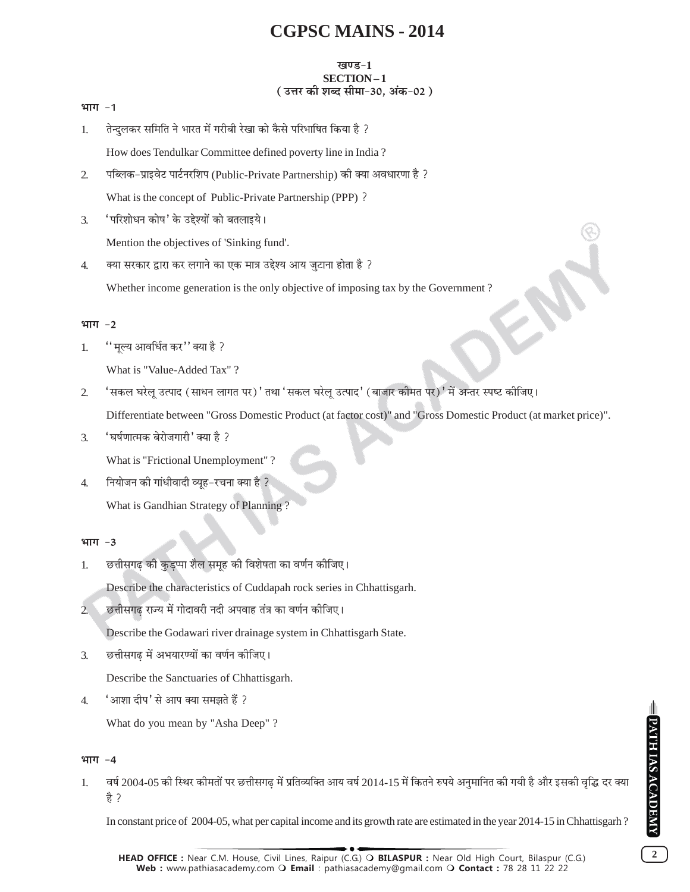### ग्वएड-1 SECTION-1 (उत्तर की शब्द सीमा-30, अंक-02)

#### भाग -1

तेन्दुलकर समिति ने भारत में गरीबी रेखा को कैसे परिभाषित किया है ?  $\mathbf{1}$ 

How does Tendulkar Committee defined poverty line in India?

- पब्लिक-प्राइवेट पार्टनरशिप (Public-Private Partnership) की क्या अवधारणा है ?  $\overline{2}$ What is the concept of Public-Private Partnership (PPP) ?
- 'परिशोधन कोष' के उद्देश्यों को बतलाइये।  $\mathcal{F}$ Mention the objectives of 'Sinking fund'.
- $\overline{4}$ . क्या सरकार द्वारा कर लगाने का एक मात्र उद्देश्य आय जुटाना होता है ? Whether income generation is the only objective of imposing tax by the Government?

### भाग $-2$

''मूल्य आवर्धित कर'' क्या है ?  $1.$ 

What is "Value-Added Tax"?

'सकल घरेल उत्पाद (साधन लागत पर)' तथा 'सकल घरेल उत्पाद' (बाजार कीमत पर)' में अन्तर स्पष्ट कीजिए।  $\overline{2}$ 

Differentiate between "Gross Domestic Product (at factor cost)" and "Gross Domestic Product (at market price)".

'घर्षणात्मक बेरोजगारी' क्या है ?  $\mathcal{F}_{\mathcal{L}}$ 

What is "Frictional Unemployment"

नियोजन की गांधीवादी व्यह-रचना क्या है ?  $\overline{4}$ .

What is Gandhian Strategy of Planning?

## भाग $-3$

छत्तीसगढ की कुडप्पा शैल समूह की विशेषता का वर्णन कीजिए।  $1.$ 

Describe the characteristics of Cuddapah rock series in Chhattisgarh.

छत्तीसगढ राज्य में गोदावरी नदी अपवाह तंत्र का वर्णन कीजिए।  $\overline{2}$ 

Describe the Godawari river drainage system in Chhattisgarh State.

छत्तीसगढ में अभयारण्यों का वर्णन कीजिए। 3.

Describe the Sanctuaries of Chhattisgarh.

'आशा दीप' से आप क्या समझते हैं ?  $\overline{4}$ .

What do you mean by "Asha Deep"?

## भाग $-4$

वर्ष 2004-05 की स्थिर कीमतों पर छत्तीसगढ में प्रतिव्यक्ति आय वर्ष 2014-15 में कितने रुपये अनुमानित की गयी है और इसकी वृद्धि दर क्या 1. हे ?

In constant price of 2004-05, what per capital income and its growth rate are estimated in the year 2014-15 in Chhattisgarh?

 $\overline{2}$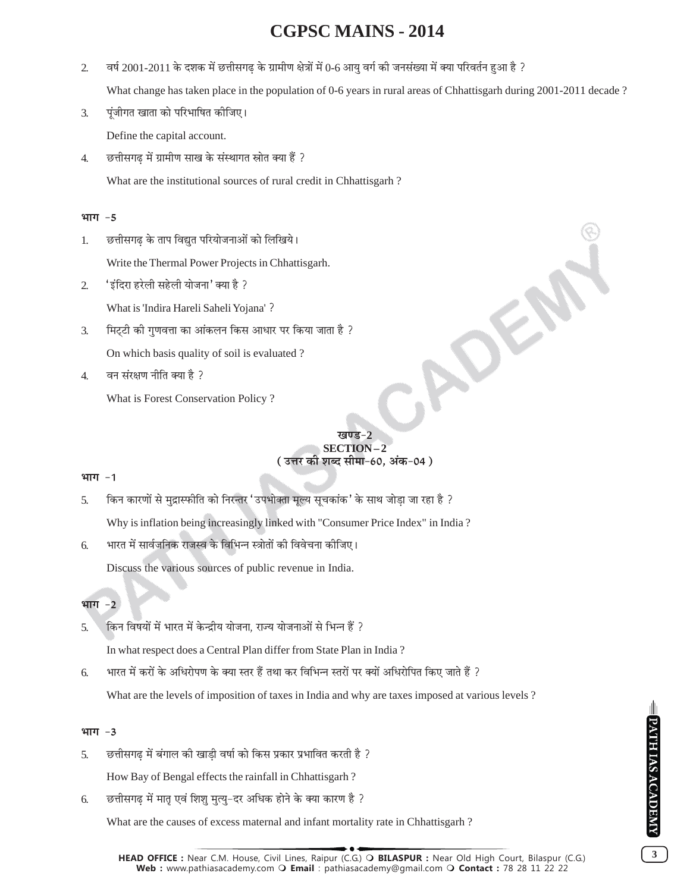$\overline{2}$ वर्ष 2001-2011 के दशक में छत्तीसगढ के ग्रामीण क्षेत्रों में 0-6 आयु वर्ग की जनसंख्या में क्या परिवर्तन हुआ है ?

What change has taken place in the population of 0-6 years in rural areas of Chhattisgarh during 2001-2011 decade?

- पूंजीगत खाता को परिभाषित कीजिए।  $\overline{3}$ . Define the capital account.
- छत्तीसगढ़ में ग्रामीण साख के संस्थागत स्रोत क्या हैं ?  $\overline{4}$ . What are the institutional sources of rural credit in Chhattisgarh?

### भाग -5

छत्तीसगढ के ताप विद्युत परियोजनाओं को लिखिये। 1.

Write the Thermal Power Projects in Chhattisgarh.

'इंदिरा हरेली सहेली योजना' क्या है ?  $\overline{2}$ 

What is 'Indira Hareli Saheli Yojana'?

- मिट्टी की गुणवत्ता का आंकलन किस आधार पर किया जाता है ?  $\mathfrak{Z}$ . On which basis quality of soil is evaluated?
- वन संरक्षण नीति क्या है ?  $\overline{4}$

What is Forest Conservation Policy?

# SECTION-2 ( उत्तर की शब्द सीमा-60. अंक-04 )

ADEN

## भाग -1

- किन कारणों से मुद्रास्फीति को निरन्तर 'उपभोक्ता मुल्य सुचकांक' के साथ जोडा जा रहा है ?  $\overline{5}$ Why is inflation being increasingly linked with "Consumer Price Index" in India?
- भारत में सार्वजनिक राजस्व के विभिन्न स्त्रोतों की विवेचना कीजिए। 6.

Discuss the various sources of public revenue in India.

#### भाग  $-2$

किन विषयों में भारत में केन्द्रीय योजना, राज्य योजनाओं से भिन्न हैं ? 5.

In what respect does a Central Plan differ from State Plan in India?

भारत में करों के अधिरोपण के क्या स्तर हैं तथा कर विभिन्न स्तरों पर क्यों अधिरोपित किए जाते हैं ? 6.

What are the levels of imposition of taxes in India and why are taxes imposed at various levels?

## भाग -3

छत्तीसगढ़ में बंगाल की खाड़ी वर्षा को किस प्रकार प्रभावित करती है ? 5.

How Bay of Bengal effects the rainfall in Chhattisgarh?

छत्तीसगढ़ में मातृ एवं शिशु मुत्यु-दर अधिक होने के क्या कारण है ? 6.

What are the causes of excess maternal and infant mortality rate in Chhattisgarh?

 $\overline{\mathbf{3}}$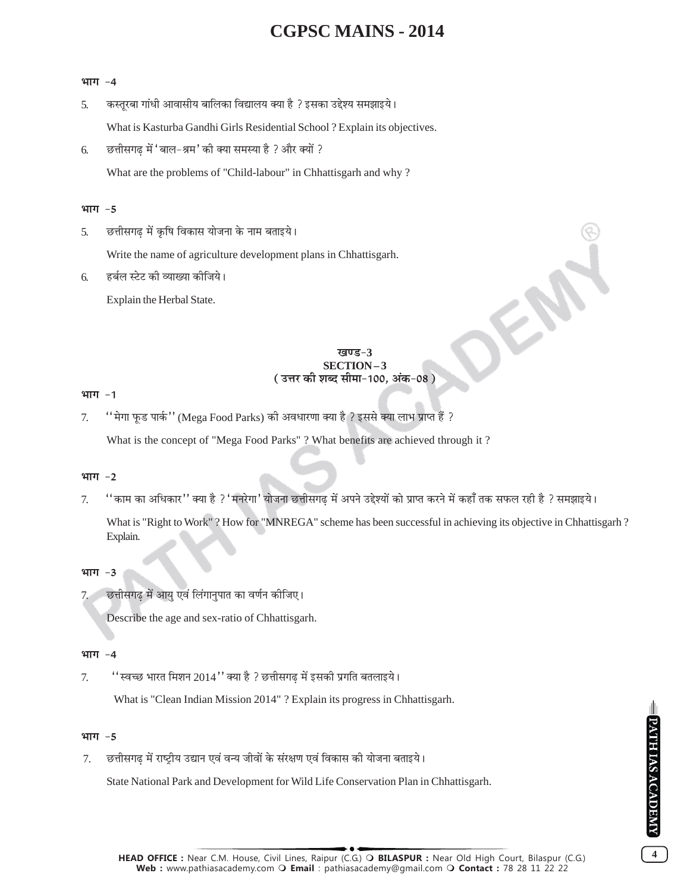#### भाग -4

- कस्तुरबा गांधी आवासीय बालिका विद्यालय क्या है ? इसका उद्देश्य समझाइये।  $\overline{5}$ . What is Kasturba Gandhi Girls Residential School ? Explain its objectives.
- छत्तीसगढ में 'बाल-श्रम' की क्या समस्या है ? और क्यों ? 6. What are the problems of "Child-labour" in Chhattisgarh and why?

#### भाग $-5$

छत्तीसगढ में कृषि विकास योजना के नाम बताइये। 5.

Write the name of agriculture development plans in Chhattisgarh.

हर्बल स्टेट की व्याख्या कोजिये। 6.

Explain the Herbal State.

#### ग्वπट−? **SECTION-3** ( उत्तर की शब्द सीमा-100, अंक-08 )

DEN

#### भाग $-1$

'' मेगा फूड पार्क'' (Mega Food Parks) की अवधारणा क्या है ? इससे क्या लाभ प्राप्त हैं ? 7. What is the concept of "Mega Food Parks"? What benefits are achieved through it?

### भाग $-2$

''काम का अधिकार'' क्या है ?'मनरेगा' योजना छत्तीसगढ में अपने उद्देश्यों को प्राप्त करने में कहाँ तक सफल रही है ? समझाइये।  $7<sub>1</sub>$ 

What is "Right to Work"? How for "MNREGA" scheme has been successful in achieving its objective in Chhattisgarh? Explain.

### भाग -3

छत्तीसगढ में आयु एवं लिंगानुपात का वर्णन कीजिए।

Describe the age and sex-ratio of Chhattisgarh.

### भाग $-4$

''स्वच्छ भारत मिशन 2014'' क्या है ? छत्तीसगढ में इसकी प्रगति बतलाइये।  $7.$ 

What is "Clean Indian Mission 2014" ? Explain its progress in Chhattisgarh.

### भाग -5

छत्तीसगढ में राष्टीय उद्यान एवं वन्य जीवों के संरक्षण एवं विकास की योजना बताइये।  $7<sub>1</sub>$ 

State National Park and Development for Wild Life Conservation Plan in Chhattisgarh.

 $\overline{\mathbf{4}}$ 

HEAD OFFICE : Near C.M. House, Civil Lines, Raipur (C.G.) O BILASPUR : Near Old High Court, Bilaspur (C.G.) Web: www.pathiasacademy.com O Email: pathiasacademy@gmail.com O Contact: 78 28 11 22 22